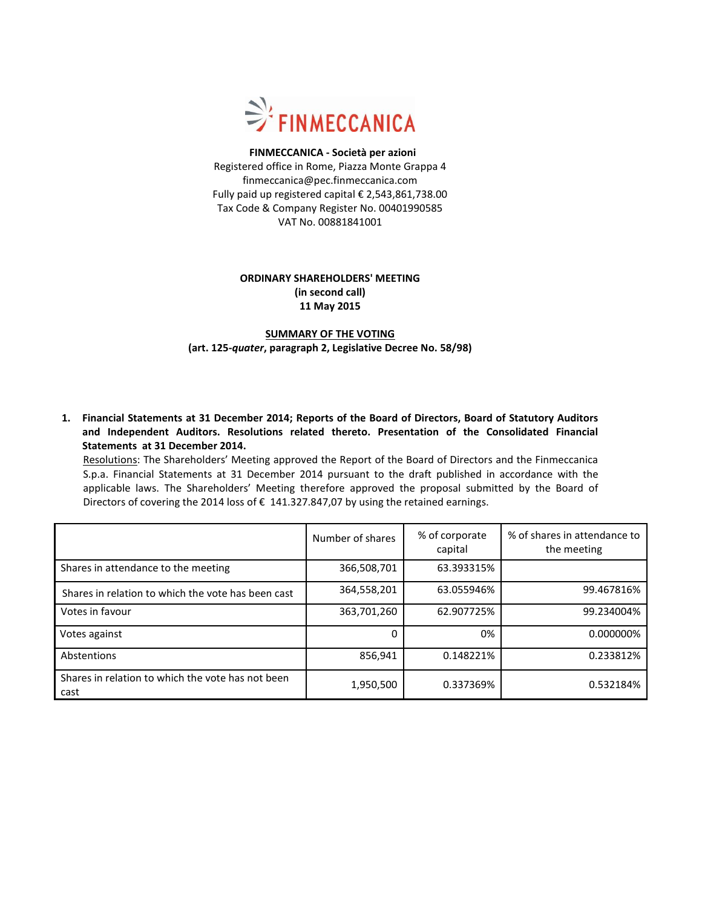

### **FINMECCANICA - Società per azioni** Registered office in Rome, Piazza Monte Grappa 4 finmeccanica@pec.finmeccanica.com Fully paid up registered capital € 2,543,861,738.00 Tax Code & Company Register No. 00401990585 VAT No. 00881841001

## **ORDINARY SHAREHOLDERS' MEETING (in second call) 11 May 2015**

## **SUMMARY OF THE VOTING (art. 125-***quater***, paragraph 2, Legislative Decree No. 58/98)**

**1. Financial Statements at 31 December 2014; Reports of the Board of Directors, Board of Statutory Auditors and Independent Auditors. Resolutions related thereto. Presentation of the Consolidated Financial Statements at 31 December 2014.**

Resolutions: The Shareholders' Meeting approved the Report of the Board of Directors and the Finmeccanica S.p.a. Financial Statements at 31 December 2014 pursuant to the draft published in accordance with the applicable laws. The Shareholders' Meeting therefore approved the proposal submitted by the Board of Directors of covering the 2014 loss of € 141.327.847,07 by using the retained earnings.

|                                                           | Number of shares | % of corporate<br>capital | % of shares in attendance to<br>the meeting |
|-----------------------------------------------------------|------------------|---------------------------|---------------------------------------------|
| Shares in attendance to the meeting                       | 366,508,701      | 63.393315%                |                                             |
| Shares in relation to which the vote has been cast        | 364,558,201      | 63.055946%                | 99.467816%                                  |
| Votes in favour                                           | 363,701,260      | 62.907725%                | 99.234004%                                  |
| Votes against                                             |                  | 0%                        | 0.000000%                                   |
| Abstentions                                               | 856,941          | 0.148221%                 | 0.233812%                                   |
| Shares in relation to which the vote has not been<br>cast | 1,950,500        | 0.337369%                 | 0.532184%                                   |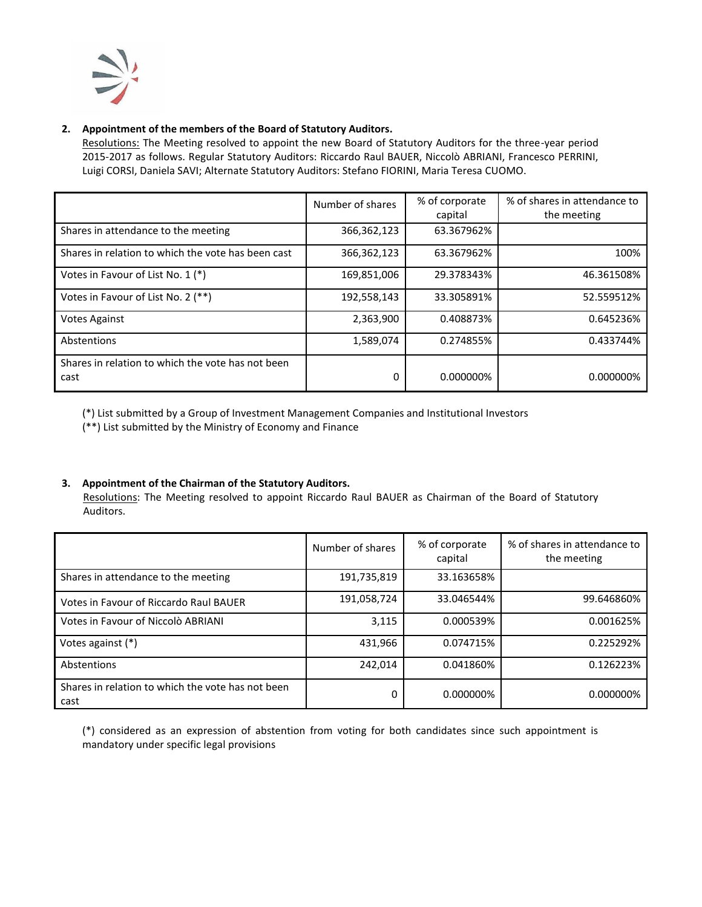

# **2. Appointment of the members of the Board of Statutory Auditors.**

Resolutions: The Meeting resolved to appoint the new Board of Statutory Auditors for the three-year period 2015-2017 as follows. Regular Statutory Auditors: Riccardo Raul BAUER, Niccolò ABRIANI, Francesco PERRINI, Luigi CORSI, Daniela SAVI; Alternate Statutory Auditors: Stefano FIORINI, Maria Teresa CUOMO.

|                                                           | Number of shares | % of corporate<br>capital | % of shares in attendance to<br>the meeting |
|-----------------------------------------------------------|------------------|---------------------------|---------------------------------------------|
| Shares in attendance to the meeting                       | 366,362,123      | 63.367962%                |                                             |
| Shares in relation to which the vote has been cast        | 366,362,123      | 63.367962%                | 100%                                        |
| Votes in Favour of List No. 1 (*)                         | 169,851,006      | 29.378343%                | 46.361508%                                  |
| Votes in Favour of List No. 2 (**)                        | 192,558,143      | 33.305891%                | 52.559512%                                  |
| <b>Votes Against</b>                                      | 2,363,900        | 0.408873%                 | 0.645236%                                   |
| Abstentions                                               | 1,589,074        | 0.274855%                 | 0.433744%                                   |
| Shares in relation to which the vote has not been<br>cast | 0                | 0.000000%                 | 0.000000%                                   |

(\*) List submitted by a Group of Investment Management Companies and Institutional Investors

(\*\*) List submitted by the Ministry of Economy and Finance

### **3. Appointment of the Chairman of the Statutory Auditors.**

Resolutions: The Meeting resolved to appoint Riccardo Raul BAUER as Chairman of the Board of Statutory Auditors.

|                                                           | Number of shares | % of corporate<br>capital | % of shares in attendance to<br>the meeting |
|-----------------------------------------------------------|------------------|---------------------------|---------------------------------------------|
| Shares in attendance to the meeting                       | 191,735,819      | 33.163658%                |                                             |
| Votes in Favour of Riccardo Raul BAUER                    | 191,058,724      | 33.046544%                | 99.646860%                                  |
| Votes in Favour of Niccolò ABRIANI                        | 3,115            | 0.000539%                 | 0.001625%                                   |
| Votes against (*)                                         | 431,966          | 0.074715%                 | 0.225292%                                   |
| Abstentions                                               | 242,014          | 0.041860%                 | 0.126223%                                   |
| Shares in relation to which the vote has not been<br>cast | 0                | 0.000000%                 | 0.000000%                                   |

(\*) considered as an expression of abstention from voting for both candidates since such appointment is mandatory under specific legal provisions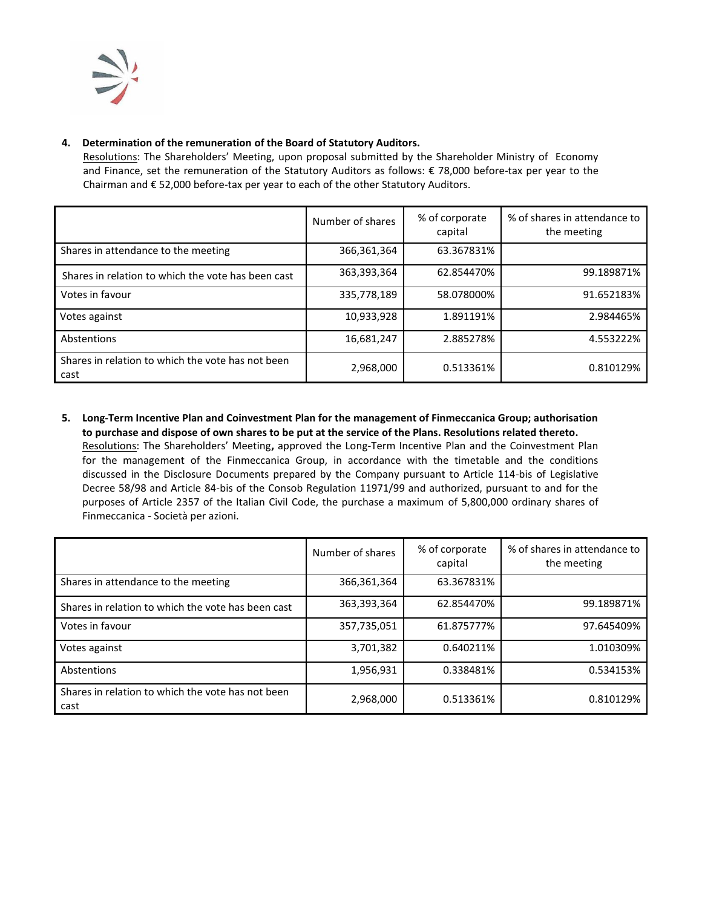

## **4. Determination of the remuneration of the Board of Statutory Auditors.**

Resolutions: The Shareholders' Meeting, upon proposal submitted by the Shareholder Ministry of Economy and Finance, set the remuneration of the Statutory Auditors as follows: € 78,000 before-tax per year to the Chairman and € 52,000 before-tax per year to each of the other Statutory Auditors.

|                                                           | Number of shares | % of corporate<br>capital | % of shares in attendance to<br>the meeting |
|-----------------------------------------------------------|------------------|---------------------------|---------------------------------------------|
| Shares in attendance to the meeting                       | 366,361,364      | 63.367831%                |                                             |
| Shares in relation to which the vote has been cast        | 363,393,364      | 62.854470%                | 99.189871%                                  |
| Votes in favour                                           | 335,778,189      | 58.078000%                | 91.652183%                                  |
| Votes against                                             | 10,933,928       | 1.891191%                 | 2.984465%                                   |
| Abstentions                                               | 16,681,247       | 2.885278%                 | 4.553222%                                   |
| Shares in relation to which the vote has not been<br>cast | 2,968,000        | 0.513361%                 | 0.810129%                                   |

**5. Long-Term Incentive Plan and Coinvestment Plan for the management of Finmeccanica Group; authorisation to purchase and dispose of own shares to be put at the service of the Plans. Resolutions related thereto.** Resolutions: The Shareholders' Meeting**,** approved the Long-Term Incentive Plan and the Coinvestment Plan for the management of the Finmeccanica Group, in accordance with the timetable and the conditions discussed in the Disclosure Documents prepared by the Company pursuant to Article 114-bis of Legislative Decree 58/98 and Article 84-bis of the Consob Regulation 11971/99 and authorized, pursuant to and for the purposes of Article 2357 of the Italian Civil Code, the purchase a maximum of 5,800,000 ordinary shares of Finmeccanica - Società per azioni.

|                                                           | Number of shares | % of corporate<br>capital | % of shares in attendance to<br>the meeting |
|-----------------------------------------------------------|------------------|---------------------------|---------------------------------------------|
| Shares in attendance to the meeting                       | 366,361,364      | 63.367831%                |                                             |
| Shares in relation to which the vote has been cast        | 363,393,364      | 62.854470%                | 99.189871%                                  |
| Votes in favour                                           | 357,735,051      | 61.875777%                | 97.645409%                                  |
| Votes against                                             | 3,701,382        | 0.640211%                 | 1.010309%                                   |
| Abstentions                                               | 1,956,931        | 0.338481%                 | 0.534153%                                   |
| Shares in relation to which the vote has not been<br>cast | 2,968,000        | 0.513361%                 | 0.810129%                                   |